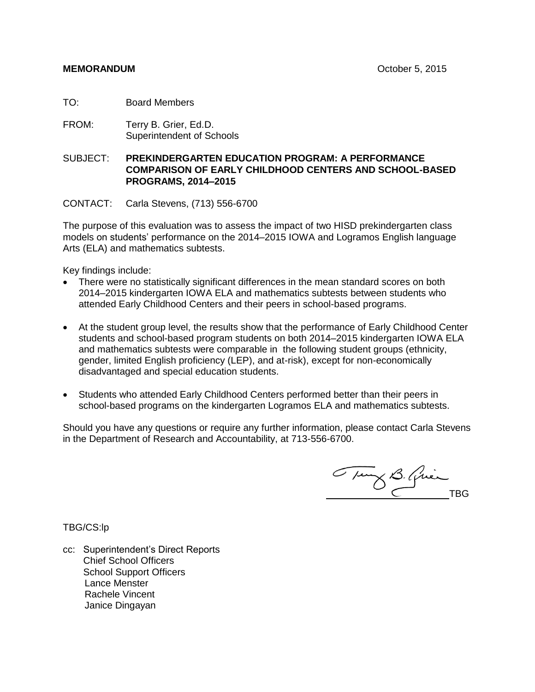TO: Board Members

FROM: Terry B. Grier, Ed.D. Superintendent of Schools

SUBJECT: **PREKINDERGARTEN EDUCATION PROGRAM: A PERFORMANCE COMPARISON OF EARLY CHILDHOOD CENTERS AND SCHOOL-BASED PROGRAMS, 2014–2015**

CONTACT: Carla Stevens, (713) 556-6700

The purpose of this evaluation was to assess the impact of two HISD prekindergarten class models on students' performance on the 2014–2015 IOWA and Logramos English language Arts (ELA) and mathematics subtests.

Key findings include:

- There were no statistically significant differences in the mean standard scores on both 2014–2015 kindergarten IOWA ELA and mathematics subtests between students who attended Early Childhood Centers and their peers in school-based programs.
- At the student group level, the results show that the performance of Early Childhood Center students and school-based program students on both 2014–2015 kindergarten IOWA ELA and mathematics subtests were comparable in the following student groups (ethnicity, gender, limited English proficiency (LEP), and at-risk), except for non-economically disadvantaged and special education students.
- Students who attended Early Childhood Centers performed better than their peers in school-based programs on the kindergarten Logramos ELA and mathematics subtests.

Should you have any questions or require any further information, please contact Carla Stevens in the Department of Research and Accountability, at 713-556-6700.

Tung B. Quin

TBG/CS:lp

cc: Superintendent's Direct Reports Chief School Officers School Support Officers Lance Menster Rachele Vincent Janice Dingayan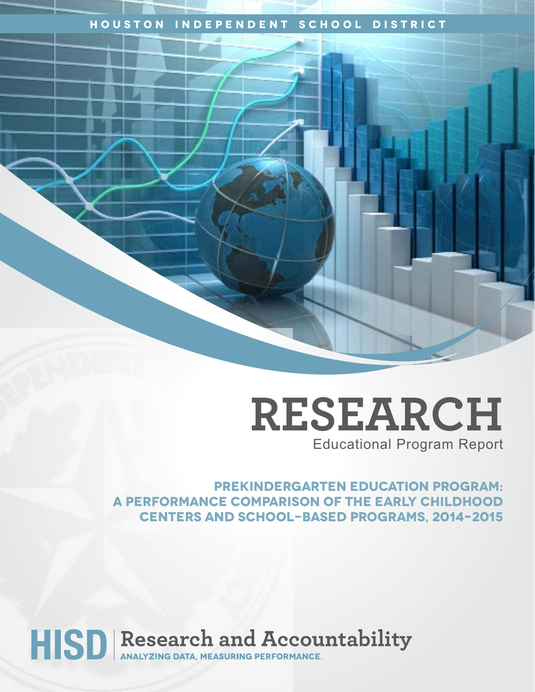# **Houston Independent School District**

**RESEARCH** Educational Program Report

**PREKINDERGARTEN EDUCATION PROGRAM: A PERFORMANCE COMPARISON OF THE EARLY CHILDHOOD CENTERS AND SCHOOL-BASED PROGRAMS, 2014–2015**

# HISD Research and Accountability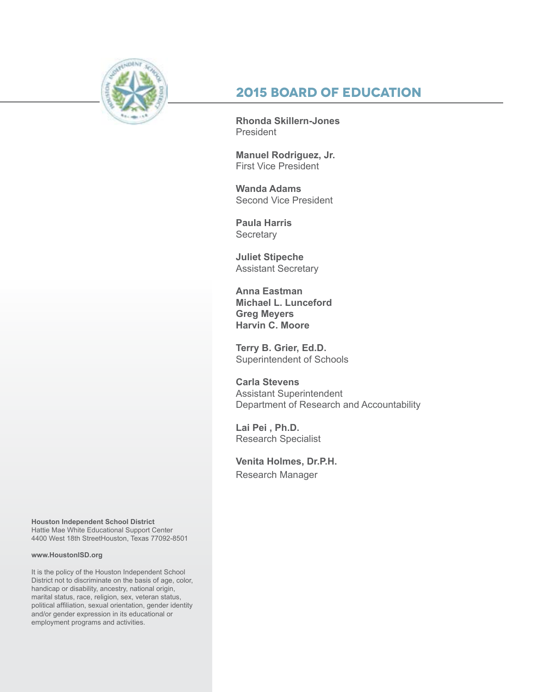

# **2015 Board of Education**

**Rhonda Skillern-Jones** President

**Manuel Rodriguez, Jr.** First Vice President

**Wanda Adams** Second Vice President

**Paula Harris Secretary** 

**Juliet Stipeche** Assistant Secretary

**Anna Eastman Michael L. Lunceford Greg Meyers Harvin C. Moore**

**Terry B. Grier, Ed.D.** Superintendent of Schools

**Carla Stevens** Assistant Superintendent Department of Research and Accountability

**Lai Pei , Ph.D.** Research Specialist

**Venita Holmes, Dr.P.H.** Research Manager

**Houston Independent School District** Hattie Mae White Educational Support Center 4400 West 18th StreetHouston, Texas 77092-8501

#### **www.HoustonISD.org**

It is the policy of the Houston Independent School District not to discriminate on the basis of age, color, handicap or disability, ancestry, national origin, marital status, race, religion, sex, veteran status, political affiliation, sexual orientation, gender identity and/or gender expression in its educational or employment programs and activities.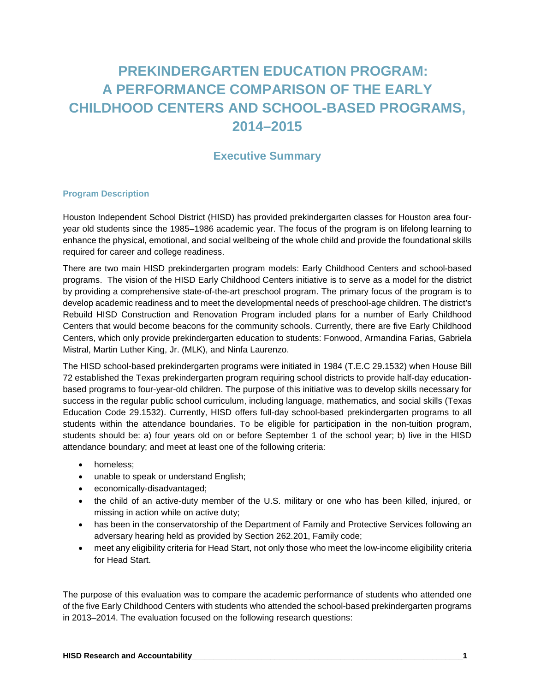# **PREKINDERGARTEN EDUCATION PROGRAM: A PERFORMANCE COMPARISON OF THE EARLY CHILDHOOD CENTERS AND SCHOOL-BASED PROGRAMS, 2014–2015**

# **Executive Summary**

#### **Program Description**

Houston Independent School District (HISD) has provided prekindergarten classes for Houston area fouryear old students since the 1985–1986 academic year. The focus of the program is on lifelong learning to enhance the physical, emotional, and social wellbeing of the whole child and provide the foundational skills required for career and college readiness.

There are two main HISD prekindergarten program models: Early Childhood Centers and school-based programs. The vision of the HISD Early Childhood Centers initiative is to serve as a model for the district by providing a comprehensive state-of-the-art preschool program. The primary focus of the program is to develop academic readiness and to meet the developmental needs of preschool-age children. The district's Rebuild HISD Construction and Renovation Program included plans for a number of Early Childhood Centers that would become beacons for the community schools. Currently, there are five Early Childhood Centers, which only provide prekindergarten education to students: Fonwood, Armandina Farias, Gabriela Mistral, Martin Luther King, Jr. (MLK), and Ninfa Laurenzo.

The HISD school-based prekindergarten programs were initiated in 1984 (T.E.C 29.1532) when House Bill 72 established the Texas prekindergarten program requiring school districts to provide half-day educationbased programs to four-year-old children. The purpose of this initiative was to develop skills necessary for success in the regular public school curriculum, including language, mathematics, and social skills (Texas Education Code 29.1532). Currently, HISD offers full-day school-based prekindergarten programs to all students within the attendance boundaries. To be eligible for participation in the non-tuition program, students should be: a) four years old on or before September 1 of the school year; b) live in the HISD attendance boundary; and meet at least one of the following criteria:

- homeless;
- unable to speak or understand English;
- economically-disadvantaged;
- the child of an active-duty member of the U.S. military or one who has been killed, injured, or missing in action while on active duty;
- has been in the conservatorship of the Department of Family and Protective Services following an adversary hearing held as provided by Section 262.201, Family code;
- meet any eligibility criteria for Head Start, not only those who meet the low-income eligibility criteria for Head Start.

The purpose of this evaluation was to compare the academic performance of students who attended one of the five Early Childhood Centers with students who attended the school-based prekindergarten programs in 2013–2014. The evaluation focused on the following research questions: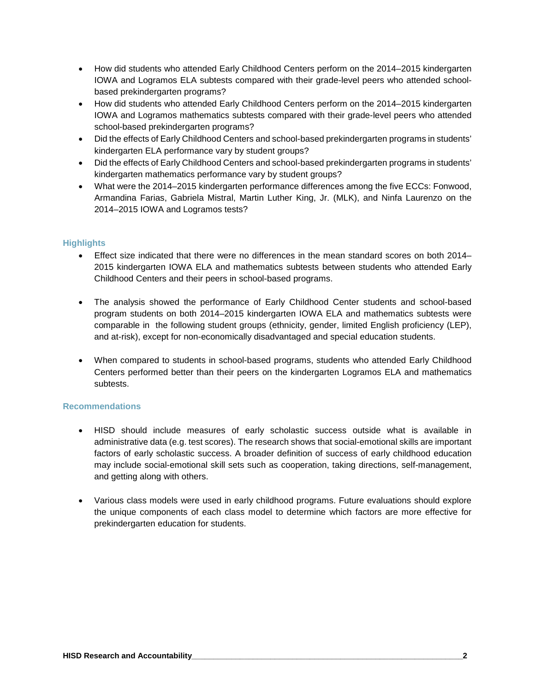- How did students who attended Early Childhood Centers perform on the 2014–2015 kindergarten IOWA and Logramos ELA subtests compared with their grade-level peers who attended schoolbased prekindergarten programs?
- How did students who attended Early Childhood Centers perform on the 2014–2015 kindergarten IOWA and Logramos mathematics subtests compared with their grade-level peers who attended school-based prekindergarten programs?
- Did the effects of Early Childhood Centers and school-based prekindergarten programs in students' kindergarten ELA performance vary by student groups?
- Did the effects of Early Childhood Centers and school-based prekindergarten programs in students' kindergarten mathematics performance vary by student groups?
- What were the 2014–2015 kindergarten performance differences among the five ECCs: Fonwood, Armandina Farias, Gabriela Mistral, Martin Luther King, Jr. (MLK), and Ninfa Laurenzo on the 2014–2015 IOWA and Logramos tests?

#### **Highlights**

- Effect size indicated that there were no differences in the mean standard scores on both 2014– 2015 kindergarten IOWA ELA and mathematics subtests between students who attended Early Childhood Centers and their peers in school-based programs.
- The analysis showed the performance of Early Childhood Center students and school-based program students on both 2014–2015 kindergarten IOWA ELA and mathematics subtests were comparable in the following student groups (ethnicity, gender, limited English proficiency (LEP), and at-risk), except for non-economically disadvantaged and special education students.
- When compared to students in school-based programs, students who attended Early Childhood Centers performed better than their peers on the kindergarten Logramos ELA and mathematics subtests.

#### **Recommendations**

- HISD should include measures of early scholastic success outside what is available in administrative data (e.g. test scores). The research shows that social-emotional skills are important factors of early scholastic success. A broader definition of success of early childhood education may include social-emotional skill sets such as cooperation, taking directions, self-management, and getting along with others.
- Various class models were used in early childhood programs. Future evaluations should explore the unique components of each class model to determine which factors are more effective for prekindergarten education for students.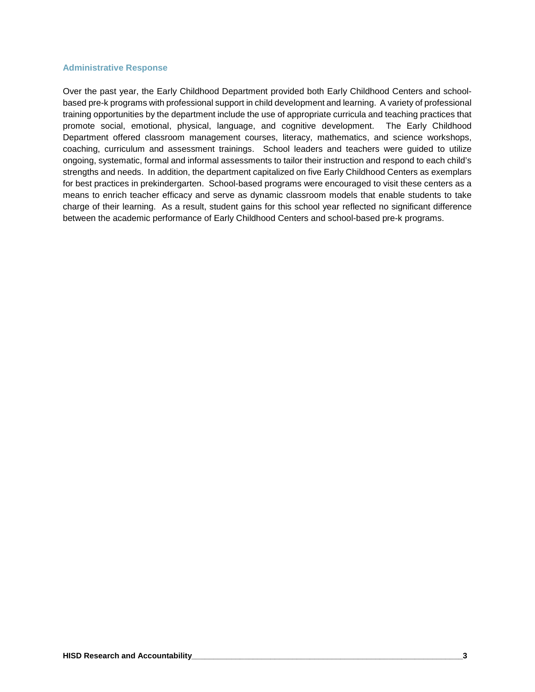#### **Administrative Response**

Over the past year, the Early Childhood Department provided both Early Childhood Centers and schoolbased pre-k programs with professional support in child development and learning. A variety of professional training opportunities by the department include the use of appropriate curricula and teaching practices that promote social, emotional, physical, language, and cognitive development. The Early Childhood Department offered classroom management courses, literacy, mathematics, and science workshops, coaching, curriculum and assessment trainings. School leaders and teachers were guided to utilize ongoing, systematic, formal and informal assessments to tailor their instruction and respond to each child's strengths and needs. In addition, the department capitalized on five Early Childhood Centers as exemplars for best practices in prekindergarten. School-based programs were encouraged to visit these centers as a means to enrich teacher efficacy and serve as dynamic classroom models that enable students to take charge of their learning. As a result, student gains for this school year reflected no significant difference between the academic performance of Early Childhood Centers and school-based pre-k programs.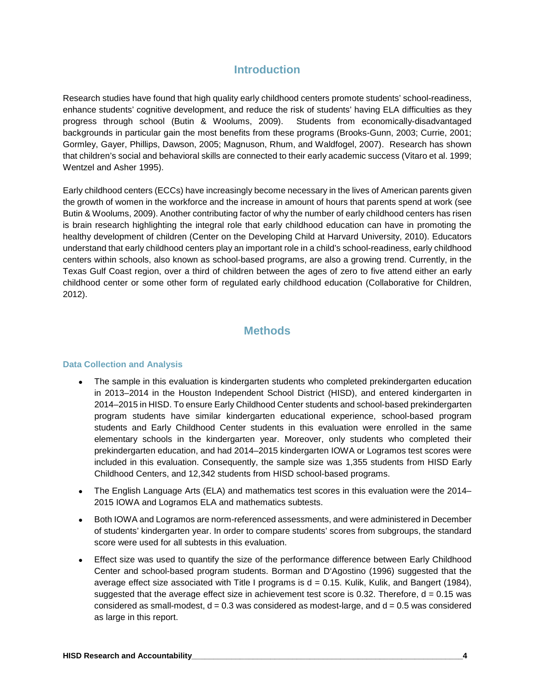## **Introduction**

Research studies have found that high quality early childhood centers promote students' school-readiness, enhance students' cognitive development, and reduce the risk of students' having ELA difficulties as they progress through school (Butin & Woolums, 2009). Students from economically-disadvantaged backgrounds in particular gain the most benefits from these programs (Brooks-Gunn, 2003; Currie, 2001; Gormley, Gayer, Phillips, Dawson, 2005; Magnuson, Rhum, and Waldfogel, 2007). Research has shown that children's social and behavioral skills are connected to their early academic success (Vitaro et al. 1999; Wentzel and Asher 1995).

Early childhood centers (ECCs) have increasingly become necessary in the lives of American parents given the growth of women in the workforce and the increase in amount of hours that parents spend at work (see Butin & Woolums, 2009). Another contributing factor of why the number of early childhood centers has risen is brain research highlighting the integral role that early childhood education can have in promoting the healthy development of children (Center on the Developing Child at Harvard University, 2010). Educators understand that early childhood centers play an important role in a child's school-readiness, early childhood centers within schools, also known as school-based programs, are also a growing trend. Currently, in the Texas Gulf Coast region, over a third of children between the ages of zero to five attend either an early childhood center or some other form of regulated early childhood education (Collaborative for Children, 2012).

## **Methods**

#### **Data Collection and Analysis**

- The sample in this evaluation is kindergarten students who completed prekindergarten education in 2013–2014 in the Houston Independent School District (HISD), and entered kindergarten in 2014–2015 in HISD. To ensure Early Childhood Center students and school-based prekindergarten program students have similar kindergarten educational experience, school-based program students and Early Childhood Center students in this evaluation were enrolled in the same elementary schools in the kindergarten year. Moreover, only students who completed their prekindergarten education, and had 2014–2015 kindergarten IOWA or Logramos test scores were included in this evaluation. Consequently, the sample size was 1,355 students from HISD Early Childhood Centers, and 12,342 students from HISD school-based programs.
- The English Language Arts (ELA) and mathematics test scores in this evaluation were the 2014– 2015 IOWA and Logramos ELA and mathematics subtests.
- Both IOWA and Logramos are norm-referenced assessments, and were administered in December of students' kindergarten year. In order to compare students' scores from subgroups, the standard score were used for all subtests in this evaluation.
- Effect size was used to quantify the size of the performance difference between Early Childhood Center and school-based program students. Borman and D'Agostino (1996) suggested that the average effect size associated with Title I programs is  $d = 0.15$ . Kulik, Kulik, and Bangert (1984), suggested that the average effect size in achievement test score is 0.32. Therefore,  $d = 0.15$  was considered as small-modest,  $d = 0.3$  was considered as modest-large, and  $d = 0.5$  was considered as large in this report.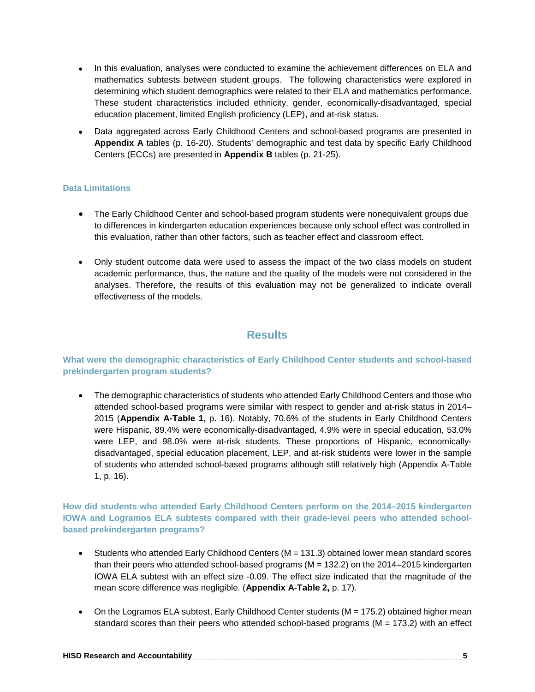- In this evaluation, analyses were conducted to examine the achievement differences on ELA and mathematics subtests between student groups. The following characteristics were explored in determining which student demographics were related to their ELA and mathematics performance. These student characteristics included ethnicity, gender, economically-disadvantaged, special education placement, limited English proficiency (LEP), and at-risk status.
- Data aggregated across Early Childhood Centers and school-based programs are presented in **Appendix A** tables (p. 16-20). Students' demographic and test data by specific Early Childhood Centers (ECCs) are presented in **Appendix B** tables (p. 21-25).

#### **Data Limitations**

- The Early Childhood Center and school-based program students were nonequivalent groups due to differences in kindergarten education experiences because only school effect was controlled in this evaluation, rather than other factors, such as teacher effect and classroom effect.
- Only student outcome data were used to assess the impact of the two class models on student academic performance, thus, the nature and the quality of the models were not considered in the analyses. Therefore, the results of this evaluation may not be generalized to indicate overall effectiveness of the models.

## **Results**

#### **What were the demographic characteristics of Early Childhood Center students and school-based prekindergarten program students?**

• The demographic characteristics of students who attended Early Childhood Centers and those who attended school-based programs were similar with respect to gender and at-risk status in 2014– 2015 (**Appendix A-Table 1,** p. 16). Notably, 70.6% of the students in Early Childhood Centers were Hispanic, 89.4% were economically-disadvantaged, 4.9% were in special education, 53.0% were LEP, and 98.0% were at-risk students. These proportions of Hispanic, economicallydisadvantaged, special education placement, LEP, and at-risk students were lower in the sample of students who attended school-based programs although still relatively high (Appendix A-Table 1, p. 16).

**How did students who attended Early Childhood Centers perform on the 2014–2015 kindergarten IOWA and Logramos ELA subtests compared with their grade-level peers who attended schoolbased prekindergarten programs?** 

- Students who attended Early Childhood Centers (M = 131.3) obtained lower mean standard scores than their peers who attended school-based programs (M = 132.2) on the 2014–2015 kindergarten IOWA ELA subtest with an effect size -0.09. The effect size indicated that the magnitude of the mean score difference was negligible. (**Appendix A-Table 2,** p. 17).
- On the Logramos ELA subtest, Early Childhood Center students ( $M = 175.2$ ) obtained higher mean standard scores than their peers who attended school-based programs ( $M = 173.2$ ) with an effect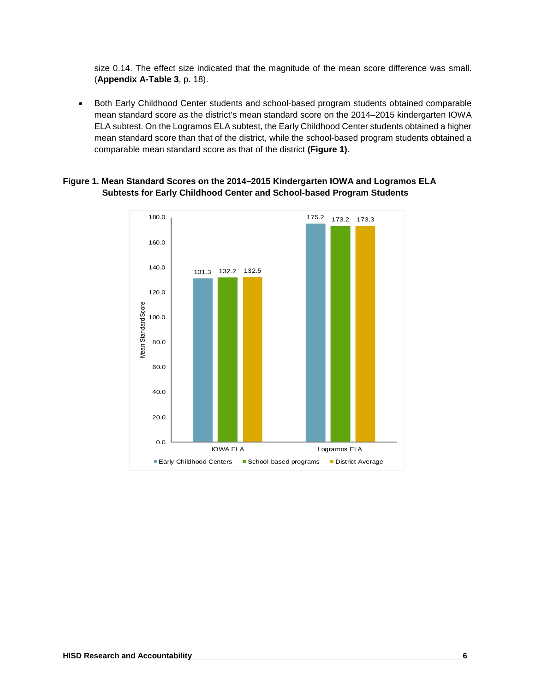size 0.14. The effect size indicated that the magnitude of the mean score difference was small. (**Appendix A-Table 3**, p. 18).

• Both Early Childhood Center students and school-based program students obtained comparable mean standard score as the district's mean standard score on the 2014–2015 kindergarten IOWA ELA subtest. On the Logramos ELA subtest, the Early Childhood Center students obtained a higher mean standard score than that of the district, while the school-based program students obtained a comparable mean standard score as that of the district **(Figure 1)**.

#### **Figure 1. Mean Standard Scores on the 2014–2015 Kindergarten IOWA and Logramos ELA Subtests for Early Childhood Center and School-based Program Students**

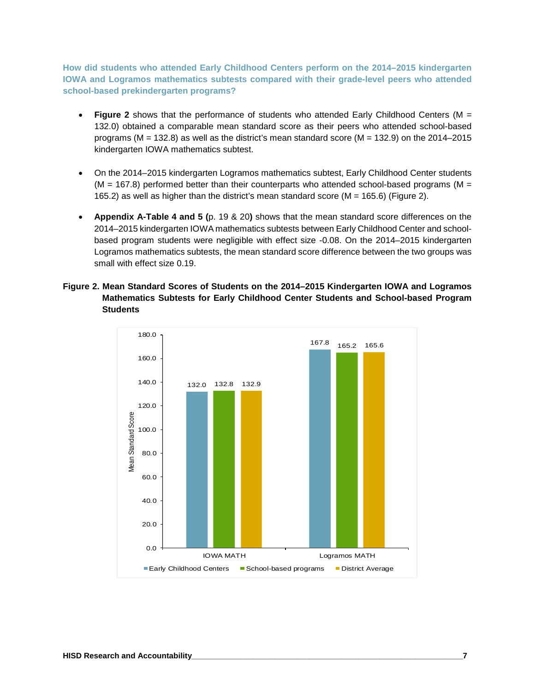**How did students who attended Early Childhood Centers perform on the 2014–2015 kindergarten IOWA and Logramos mathematics subtests compared with their grade-level peers who attended school-based prekindergarten programs?** 

- **Figure 2** shows that the performance of students who attended Early Childhood Centers (M = 132.0) obtained a comparable mean standard score as their peers who attended school-based programs ( $M = 132.8$ ) as well as the district's mean standard score ( $M = 132.9$ ) on the 2014–2015 kindergarten IOWA mathematics subtest.
- On the 2014–2015 kindergarten Logramos mathematics subtest, Early Childhood Center students  $(M = 167.8)$  performed better than their counterparts who attended school-based programs (M = 165.2) as well as higher than the district's mean standard score ( $M = 165.6$ ) (Figure 2).
- **Appendix A-Table 4 and 5 (**p. 19 & 20**)** shows that the mean standard score differences on the 2014–2015 kindergarten IOWA mathematics subtests between Early Childhood Center and schoolbased program students were negligible with effect size -0.08. On the 2014–2015 kindergarten Logramos mathematics subtests, the mean standard score difference between the two groups was small with effect size 0.19.
- **Figure 2. Mean Standard Scores of Students on the 2014–2015 Kindergarten IOWA and Logramos Mathematics Subtests for Early Childhood Center Students and School-based Program Students**

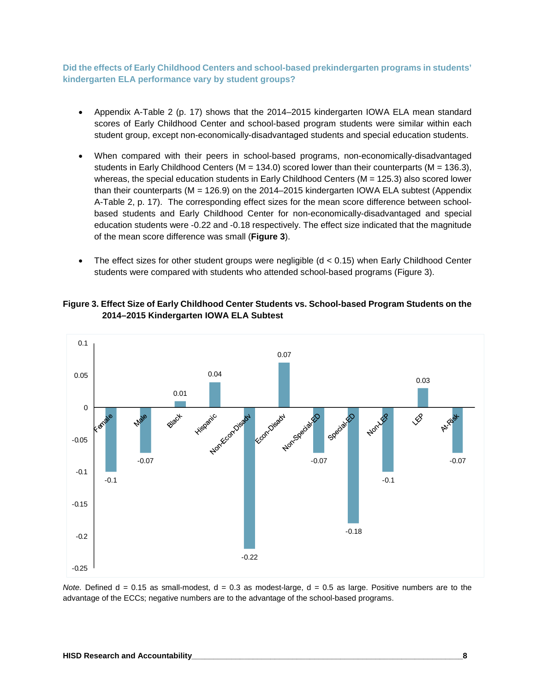**Did the effects of Early Childhood Centers and school-based prekindergarten programs in students' kindergarten ELA performance vary by student groups?**

- Appendix A-Table 2 (p. 17) shows that the 2014–2015 kindergarten IOWA ELA mean standard scores of Early Childhood Center and school-based program students were similar within each student group, except non-economically-disadvantaged students and special education students.
- When compared with their peers in school-based programs, non-economically-disadvantaged students in Early Childhood Centers ( $M = 134.0$ ) scored lower than their counterparts ( $M = 136.3$ ), whereas, the special education students in Early Childhood Centers (M = 125.3) also scored lower than their counterparts (M = 126.9) on the 2014–2015 kindergarten IOWA ELA subtest (Appendix A-Table 2, p. 17). The corresponding effect sizes for the mean score difference between schoolbased students and Early Childhood Center for non-economically-disadvantaged and special education students were -0.22 and -0.18 respectively. The effect size indicated that the magnitude of the mean score difference was small (**Figure 3**).
- The effect sizes for other student groups were negligible (d < 0.15) when Early Childhood Center students were compared with students who attended school-based programs (Figure 3).





*Note.* Defined  $d = 0.15$  as small-modest,  $d = 0.3$  as modest-large,  $d = 0.5$  as large. Positive numbers are to the advantage of the ECCs; negative numbers are to the advantage of the school-based programs.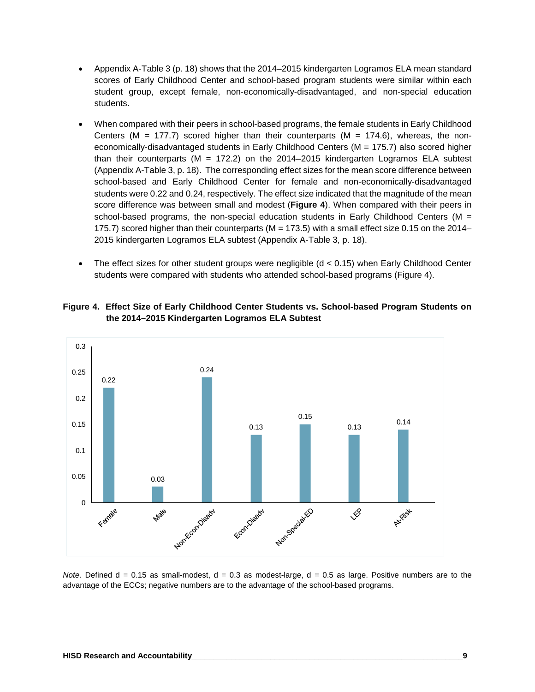- Appendix A-Table 3 (p. 18) shows that the 2014–2015 kindergarten Logramos ELA mean standard scores of Early Childhood Center and school-based program students were similar within each student group, except female, non-economically-disadvantaged, and non-special education students.
- When compared with their peers in school-based programs, the female students in Early Childhood Centers ( $M = 177.7$ ) scored higher than their counterparts ( $M = 174.6$ ), whereas, the noneconomically-disadvantaged students in Early Childhood Centers (M = 175.7) also scored higher than their counterparts ( $M = 172.2$ ) on the 2014–2015 kindergarten Logramos ELA subtest (Appendix A-Table 3, p. 18). The corresponding effect sizes for the mean score difference between school-based and Early Childhood Center for female and non-economically-disadvantaged students were 0.22 and 0.24, respectively. The effect size indicated that the magnitude of the mean score difference was between small and modest (**Figure 4**). When compared with their peers in school-based programs, the non-special education students in Early Childhood Centers ( $M =$ 175.7) scored higher than their counterparts (M = 173.5) with a small effect size 0.15 on the 2014– 2015 kindergarten Logramos ELA subtest (Appendix A-Table 3, p. 18).
- The effect sizes for other student groups were negligible (d < 0.15) when Early Childhood Center students were compared with students who attended school-based programs (Figure 4).

#### **Figure 4. Effect Size of Early Childhood Center Students vs. School-based Program Students on the 2014–2015 Kindergarten Logramos ELA Subtest**



*Note.* Defined d = 0.15 as small-modest, d = 0.3 as modest-large, d = 0.5 as large. Positive numbers are to the advantage of the ECCs; negative numbers are to the advantage of the school-based programs.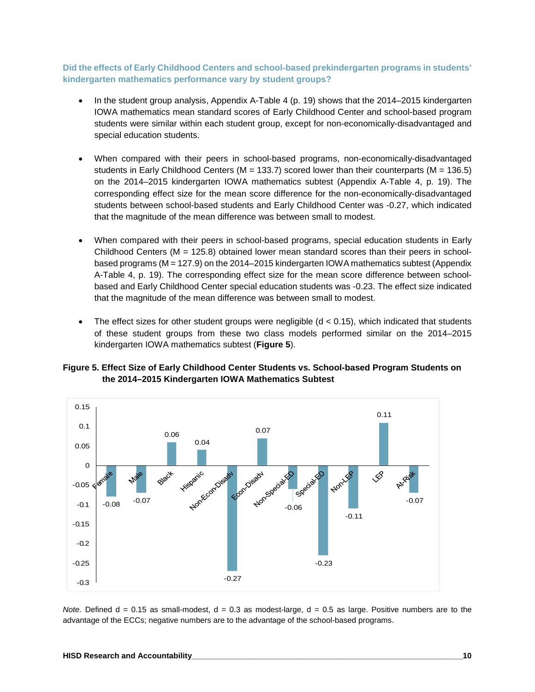#### **Did the effects of Early Childhood Centers and school-based prekindergarten programs in students' kindergarten mathematics performance vary by student groups?**

- In the student group analysis, Appendix A-Table 4 (p. 19) shows that the 2014–2015 kindergarten IOWA mathematics mean standard scores of Early Childhood Center and school-based program students were similar within each student group, except for non-economically-disadvantaged and special education students.
- When compared with their peers in school-based programs, non-economically-disadvantaged students in Early Childhood Centers ( $M = 133.7$ ) scored lower than their counterparts ( $M = 136.5$ ) on the 2014–2015 kindergarten IOWA mathematics subtest (Appendix A-Table 4, p. 19). The corresponding effect size for the mean score difference for the non-economically-disadvantaged students between school-based students and Early Childhood Center was -0.27, which indicated that the magnitude of the mean difference was between small to modest.
- When compared with their peers in school-based programs, special education students in Early Childhood Centers ( $M = 125.8$ ) obtained lower mean standard scores than their peers in schoolbased programs (M = 127.9) on the 2014–2015 kindergarten IOWA mathematics subtest (Appendix A-Table 4, p. 19). The corresponding effect size for the mean score difference between schoolbased and Early Childhood Center special education students was -0.23. The effect size indicated that the magnitude of the mean difference was between small to modest.
- The effect sizes for other student groups were negligible  $(d < 0.15)$ , which indicated that students of these student groups from these two class models performed similar on the 2014–2015 kindergarten IOWA mathematics subtest (**Figure 5**).

**Figure 5. Effect Size of Early Childhood Center Students vs. School-based Program Students on the 2014–2015 Kindergarten IOWA Mathematics Subtest**



*Note.* Defined d = 0.15 as small-modest, d = 0.3 as modest-large, d = 0.5 as large. Positive numbers are to the advantage of the ECCs; negative numbers are to the advantage of the school-based programs.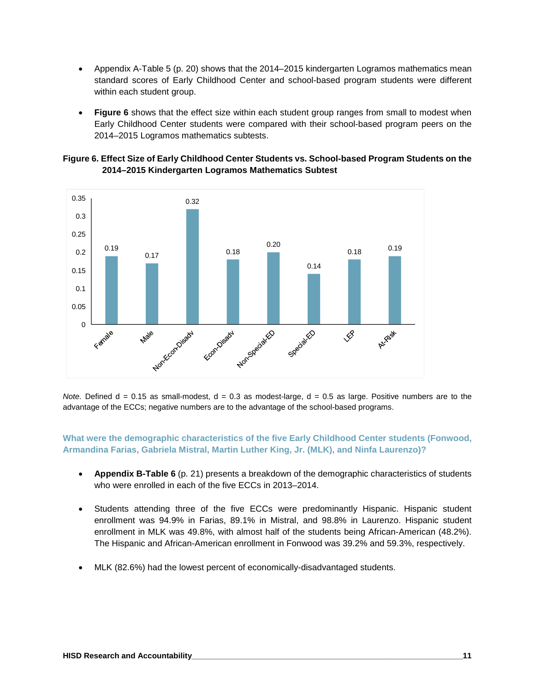- Appendix A-Table 5 (p. 20) shows that the 2014–2015 kindergarten Logramos mathematics mean standard scores of Early Childhood Center and school-based program students were different within each student group.
- **Figure 6** shows that the effect size within each student group ranges from small to modest when Early Childhood Center students were compared with their school-based program peers on the 2014–2015 Logramos mathematics subtests.





*Note.* Defined d = 0.15 as small-modest, d = 0.3 as modest-large, d = 0.5 as large. Positive numbers are to the advantage of the ECCs; negative numbers are to the advantage of the school-based programs.

**What were the demographic characteristics of the five Early Childhood Center students (Fonwood, Armandina Farias, Gabriela Mistral, Martin Luther King, Jr. (MLK), and Ninfa Laurenzo)?**

- **Appendix B-Table 6** (p. 21) presents a breakdown of the demographic characteristics of students who were enrolled in each of the five ECCs in 2013–2014.
- Students attending three of the five ECCs were predominantly Hispanic. Hispanic student enrollment was 94.9% in Farias, 89.1% in Mistral, and 98.8% in Laurenzo. Hispanic student enrollment in MLK was 49.8%, with almost half of the students being African-American (48.2%). The Hispanic and African-American enrollment in Fonwood was 39.2% and 59.3%, respectively.
- MLK (82.6%) had the lowest percent of economically-disadvantaged students.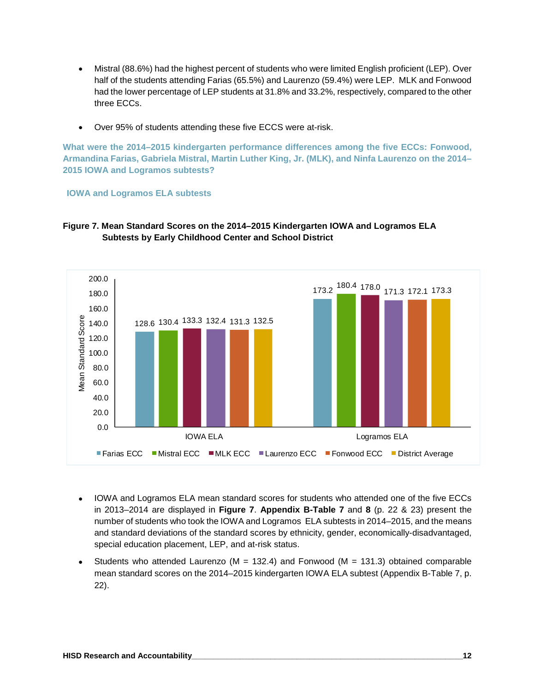- Mistral (88.6%) had the highest percent of students who were limited English proficient (LEP). Over half of the students attending Farias (65.5%) and Laurenzo (59.4%) were LEP. MLK and Fonwood had the lower percentage of LEP students at 31.8% and 33.2%, respectively, compared to the other three ECCs.
- Over 95% of students attending these five ECCS were at-risk.

**What were the 2014–2015 kindergarten performance differences among the five ECCs: Fonwood, Armandina Farias, Gabriela Mistral, Martin Luther King, Jr. (MLK), and Ninfa Laurenzo on the 2014– 2015 IOWA and Logramos subtests?**

**IOWA and Logramos ELA subtests**



#### **Figure 7. Mean Standard Scores on the 2014–2015 Kindergarten IOWA and Logramos ELA Subtests by Early Childhood Center and School District**

- IOWA and Logramos ELA mean standard scores for students who attended one of the five ECCs in 2013–2014 are displayed in **Figure 7**. **Appendix B-Table 7** and **8** (p. 22 & 23) present the number of students who took the IOWA and Logramos ELA subtests in 2014–2015, and the means and standard deviations of the standard scores by ethnicity, gender, economically-disadvantaged, special education placement, LEP, and at-risk status.
- Students who attended Laurenzo ( $M = 132.4$ ) and Fonwood ( $M = 131.3$ ) obtained comparable mean standard scores on the 2014–2015 kindergarten IOWA ELA subtest (Appendix B-Table 7, p. 22).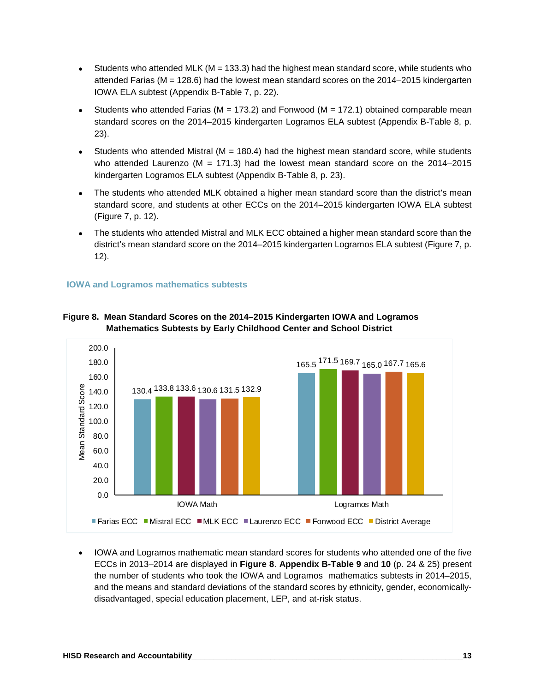- Students who attended MLK ( $M = 133.3$ ) had the highest mean standard score, while students who attended Farias (M = 128.6) had the lowest mean standard scores on the 2014–2015 kindergarten IOWA ELA subtest (Appendix B-Table 7, p. 22).
- Students who attended Farias ( $M = 173.2$ ) and Fonwood ( $M = 172.1$ ) obtained comparable mean standard scores on the 2014–2015 kindergarten Logramos ELA subtest (Appendix B-Table 8, p. 23).
- Students who attended Mistral ( $M = 180.4$ ) had the highest mean standard score, while students who attended Laurenzo ( $M = 171.3$ ) had the lowest mean standard score on the 2014–2015 kindergarten Logramos ELA subtest (Appendix B-Table 8, p. 23).
- The students who attended MLK obtained a higher mean standard score than the district's mean standard score, and students at other ECCs on the 2014–2015 kindergarten IOWA ELA subtest (Figure 7, p. 12).
- The students who attended Mistral and MLK ECC obtained a higher mean standard score than the district's mean standard score on the 2014–2015 kindergarten Logramos ELA subtest (Figure 7, p. 12).

#### **IOWA and Logramos mathematics subtests**



#### **Figure 8. Mean Standard Scores on the 2014–2015 Kindergarten IOWA and Logramos Mathematics Subtests by Early Childhood Center and School District**

• IOWA and Logramos mathematic mean standard scores for students who attended one of the five ECCs in 2013–2014 are displayed in **Figure 8**. **Appendix B-Table 9** and **10** (p. 24 & 25) present the number of students who took the IOWA and Logramos mathematics subtests in 2014–2015, and the means and standard deviations of the standard scores by ethnicity, gender, economicallydisadvantaged, special education placement, LEP, and at-risk status.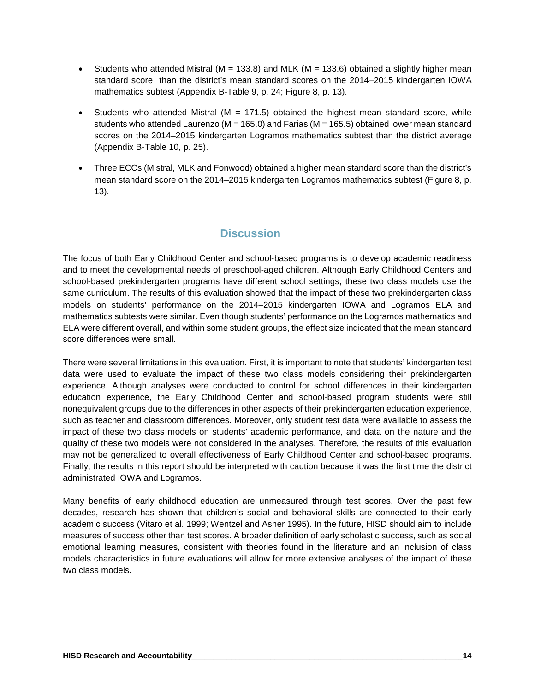- Students who attended Mistral ( $M = 133.8$ ) and MLK ( $M = 133.6$ ) obtained a slightly higher mean standard score than the district's mean standard scores on the 2014–2015 kindergarten IOWA mathematics subtest (Appendix B-Table 9, p. 24; Figure 8, p. 13).
- Students who attended Mistral ( $M = 171.5$ ) obtained the highest mean standard score, while students who attended Laurenzo (M = 165.0) and Farias (M = 165.5) obtained lower mean standard scores on the 2014–2015 kindergarten Logramos mathematics subtest than the district average (Appendix B-Table 10, p. 25).
- Three ECCs (Mistral, MLK and Fonwood) obtained a higher mean standard score than the district's mean standard score on the 2014–2015 kindergarten Logramos mathematics subtest (Figure 8, p. 13).

# **Discussion**

The focus of both Early Childhood Center and school-based programs is to develop academic readiness and to meet the developmental needs of preschool-aged children. Although Early Childhood Centers and school-based prekindergarten programs have different school settings, these two class models use the same curriculum. The results of this evaluation showed that the impact of these two prekindergarten class models on students' performance on the 2014–2015 kindergarten IOWA and Logramos ELA and mathematics subtests were similar. Even though students' performance on the Logramos mathematics and ELA were different overall, and within some student groups, the effect size indicated that the mean standard score differences were small.

There were several limitations in this evaluation. First, it is important to note that students' kindergarten test data were used to evaluate the impact of these two class models considering their prekindergarten experience. Although analyses were conducted to control for school differences in their kindergarten education experience, the Early Childhood Center and school-based program students were still nonequivalent groups due to the differences in other aspects of their prekindergarten education experience, such as teacher and classroom differences. Moreover, only student test data were available to assess the impact of these two class models on students' academic performance, and data on the nature and the quality of these two models were not considered in the analyses. Therefore, the results of this evaluation may not be generalized to overall effectiveness of Early Childhood Center and school-based programs. Finally, the results in this report should be interpreted with caution because it was the first time the district administrated IOWA and Logramos.

Many benefits of early childhood education are unmeasured through test scores. Over the past few decades, research has shown that children's social and behavioral skills are connected to their early academic success (Vitaro et al. 1999; Wentzel and Asher 1995). In the future, HISD should aim to include measures of success other than test scores. A broader definition of early scholastic success, such as social emotional learning measures, consistent with theories found in the literature and an inclusion of class models characteristics in future evaluations will allow for more extensive analyses of the impact of these two class models.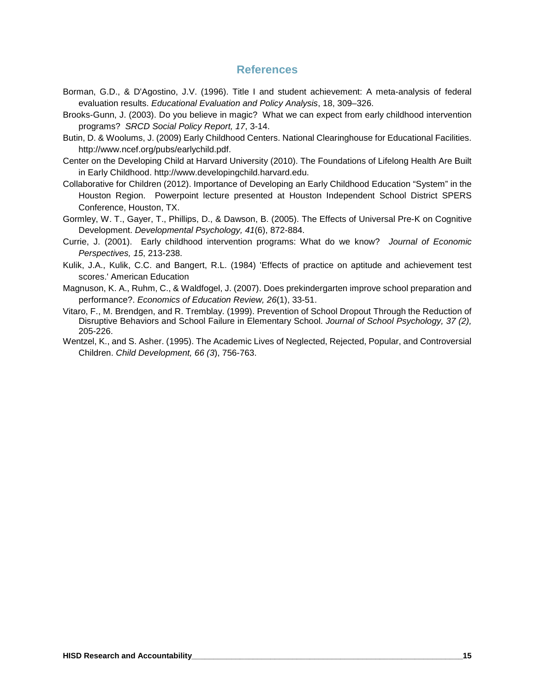### **References**

- Borman, G.D., & D'Agostino, J.V. (1996). Title I and student achievement: A meta-analysis of federal evaluation results. *Educational Evaluation and Policy Analysis*, 18, 309–326.
- Brooks-Gunn, J. (2003). Do you believe in magic? What we can expect from early childhood intervention programs? *SRCD Social Policy Report, 17*, 3-14.
- Butin, D. & Woolums, J. (2009) Early Childhood Centers. National Clearinghouse for Educational Facilities. http://www.ncef.org/pubs/earlychild.pdf.
- Center on the Developing Child at Harvard University (2010). The Foundations of Lifelong Health Are Built in Early Childhood. http://www.developingchild.harvard.edu.
- Collaborative for Children (2012). Importance of Developing an Early Childhood Education "System" in the Houston Region. Powerpoint lecture presented at Houston Independent School District SPERS Conference, Houston, TX.
- Gormley, W. T., Gayer, T., Phillips, D., & Dawson, B. (2005). The Effects of Universal Pre-K on Cognitive Development. *Developmental Psychology, 41*(6), 872-884.
- Currie, J. (2001). Early childhood intervention programs: What do we know? *Journal of Economic Perspectives, 15*, 213-238.
- Kulik, J.A., Kulik, C.C. and Bangert, R.L. (1984) 'Effects of practice on aptitude and achievement test scores.' American Education
- Magnuson, K. A., Ruhm, C., & Waldfogel, J. (2007). Does prekindergarten improve school preparation and performance?. *Economics of Education Review, 26*(1), 33-51.
- Vitaro, F., M. Brendgen, and R. Tremblay. (1999). Prevention of School Dropout Through the Reduction of Disruptive Behaviors and School Failure in Elementary School. *Journal of School Psychology, 37 (2),* 205-226.
- Wentzel, K., and S. Asher. (1995). The Academic Lives of Neglected, Rejected, Popular, and Controversial Children. *Child Development, 66 (3*), 756-763.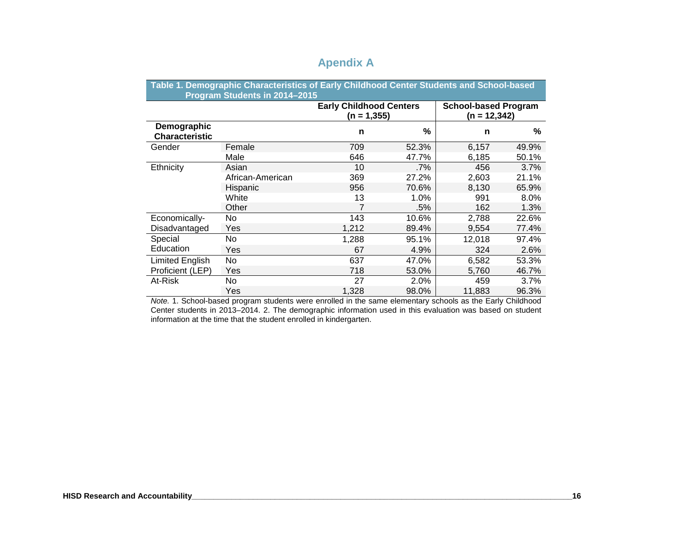|                                      | Table 1. Demographic Characteristics of Early Childhood Center Students and School-based<br>Program Students in 2014-2015 |                                                  |        |                                               |       |
|--------------------------------------|---------------------------------------------------------------------------------------------------------------------------|--------------------------------------------------|--------|-----------------------------------------------|-------|
|                                      |                                                                                                                           | <b>Early Childhood Centers</b><br>$(n = 1, 355)$ |        | <b>School-based Program</b><br>$(n = 12,342)$ |       |
| Demographic<br><b>Characteristic</b> |                                                                                                                           | n                                                | %      | n                                             | %     |
| Gender                               | Female                                                                                                                    | 709                                              | 52.3%  | 6,157                                         | 49.9% |
|                                      | Male                                                                                                                      | 646                                              | 47.7%  | 6,185                                         | 50.1% |
| Ethnicity                            | Asian                                                                                                                     | 10                                               | $.7\%$ | 456                                           | 3.7%  |
|                                      | African-American                                                                                                          | 369                                              | 27.2%  | 2,603                                         | 21.1% |
|                                      | Hispanic                                                                                                                  | 956                                              | 70.6%  | 8.130                                         | 65.9% |
|                                      | White                                                                                                                     | 13                                               | 1.0%   | 991                                           | 8.0%  |
|                                      | Other                                                                                                                     | 7                                                | .5%    | 162                                           | 1.3%  |
| Economically-                        | No                                                                                                                        | 143                                              | 10.6%  | 2,788                                         | 22.6% |
| Disadvantaged                        | Yes                                                                                                                       | 1,212                                            | 89.4%  | 9,554                                         | 77.4% |
| Special                              | No                                                                                                                        | 1,288                                            | 95.1%  | 12,018                                        | 97.4% |
| Education                            | Yes                                                                                                                       | 67                                               | 4.9%   | 324                                           | 2.6%  |
| <b>Limited English</b>               | No                                                                                                                        | 637                                              | 47.0%  | 6,582                                         | 53.3% |
| Proficient (LEP)                     | Yes                                                                                                                       | 718                                              | 53.0%  | 5,760                                         | 46.7% |
| At-Risk                              | No.                                                                                                                       | 27                                               | 2.0%   | 459                                           | 3.7%  |
|                                      | Yes                                                                                                                       | 1,328                                            | 98.0%  | 11,883                                        | 96.3% |

# **Apendix A**

*Note.* 1. School-based program students were enrolled in the same elementary schools as the Early Childhood Center students in 2013–2014. 2. The demographic information used in this evaluation was based on student information at the time that the student enrolled in kindergarten.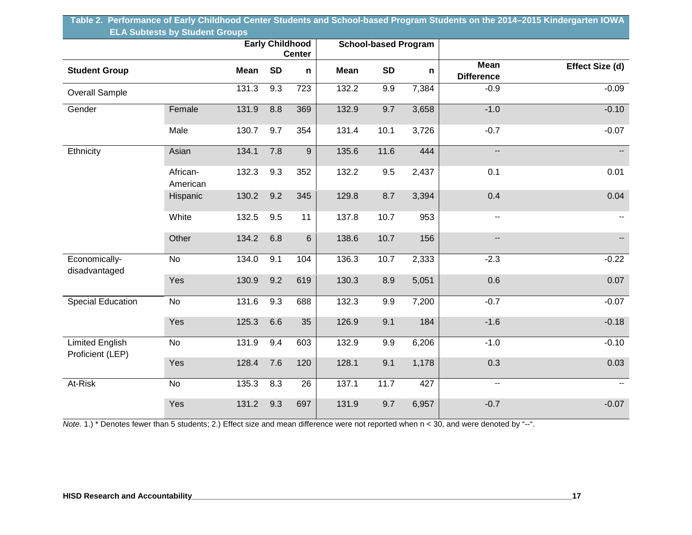| Table 2. Performance of Early Childhood Center Students and School-based Program Students on the 2014–2015 Kindergarten IOWA |  |
|------------------------------------------------------------------------------------------------------------------------------|--|
| <b>ELA Subtests by Student Groups</b>                                                                                        |  |

|                                            |                      |       |           | <b>Early Childhood</b> |       | <b>School-based Program</b> |       |                                  |                 |
|--------------------------------------------|----------------------|-------|-----------|------------------------|-------|-----------------------------|-------|----------------------------------|-----------------|
| <b>Student Group</b>                       |                      | Mean  | <b>SD</b> | <b>Center</b><br>n     | Mean  | <b>SD</b>                   | n     | <b>Mean</b><br><b>Difference</b> | Effect Size (d) |
| <b>Overall Sample</b>                      |                      | 131.3 | 9.3       | 723                    | 132.2 | 9.9                         | 7,384 | $-0.9$                           | $-0.09$         |
| Gender                                     | Female               | 131.9 | 8.8       | 369                    | 132.9 | 9.7                         | 3,658 | $-1.0$                           | $-0.10$         |
|                                            | Male                 | 130.7 | 9.7       | 354                    | 131.4 | 10.1                        | 3,726 | $-0.7$                           | $-0.07$         |
| Ethnicity                                  | Asian                | 134.1 | 7.8       | $\boldsymbol{9}$       | 135.6 | 11.6                        | 444   | .,                               |                 |
|                                            | African-<br>American | 132.3 | 9.3       | 352                    | 132.2 | 9.5                         | 2,437 | 0.1                              | 0.01            |
|                                            | Hispanic             | 130.2 | 9.2       | 345                    | 129.8 | 8.7                         | 3,394 | 0.4                              | 0.04            |
|                                            | White                | 132.5 | 9.5       | 11                     | 137.8 | 10.7                        | 953   | $\overline{\phantom{a}}$         |                 |
|                                            | Other                | 134.2 | 6.8       | $6\phantom{a}$         | 138.6 | 10.7                        | 156   | $\overline{\phantom{a}}$         |                 |
| Economically-<br>disadvantaged             | <b>No</b>            | 134.0 | 9.1       | 104                    | 136.3 | 10.7                        | 2,333 | $-2.3$                           | $-0.22$         |
|                                            | Yes                  | 130.9 | 9.2       | 619                    | 130.3 | 8.9                         | 5,051 | 0.6                              | 0.07            |
| <b>Special Education</b>                   | No                   | 131.6 | 9.3       | 688                    | 132.3 | 9.9                         | 7,200 | $-0.7$                           | $-0.07$         |
|                                            | Yes                  | 125.3 | 6.6       | 35                     | 126.9 | 9.1                         | 184   | $-1.6$                           | $-0.18$         |
| <b>Limited English</b><br>Proficient (LEP) | No                   | 131.9 | 9.4       | 603                    | 132.9 | 9.9                         | 6,206 | $-1.0$                           | $-0.10$         |
|                                            | Yes                  | 128.4 | 7.6       | 120                    | 128.1 | 9.1                         | 1,178 | 0.3                              | 0.03            |
| At-Risk                                    | No                   | 135.3 | 8.3       | 26                     | 137.1 | 11.7                        | 427   | --                               |                 |
|                                            | Yes                  | 131.2 | 9.3       | 697                    | 131.9 | 9.7                         | 6,957 | $-0.7$                           | $-0.07$         |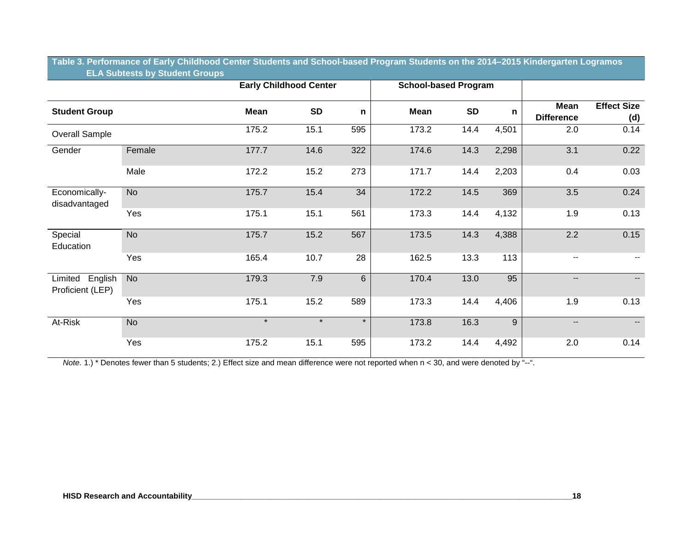| Table 3. Performance of Early Childhood Center Students and School-based Program Students on the 2014–2015 Kindergarten Logramos, |  |  |
|-----------------------------------------------------------------------------------------------------------------------------------|--|--|
| <b>ELA Subtests by Student Groups</b>                                                                                             |  |  |

|                                        |           |             | <b>Early Childhood Center</b> |              |             | <b>School-based Program</b> |       |                           |                           |
|----------------------------------------|-----------|-------------|-------------------------------|--------------|-------------|-----------------------------|-------|---------------------------|---------------------------|
| <b>Student Group</b>                   |           | <b>Mean</b> | <b>SD</b>                     | $\mathsf{n}$ | <b>Mean</b> | <b>SD</b>                   | n     | Mean<br><b>Difference</b> | <b>Effect Size</b><br>(d) |
| Overall Sample                         |           | 175.2       | 15.1                          | 595          | 173.2       | 14.4                        | 4,501 | 2.0                       | 0.14                      |
| Gender                                 | Female    | 177.7       | 14.6                          | 322          | 174.6       | 14.3                        | 2,298 | 3.1                       | 0.22                      |
|                                        | Male      | 172.2       | 15.2                          | 273          | 171.7       | 14.4                        | 2,203 | 0.4                       | 0.03                      |
| Economically-<br>disadvantaged         | <b>No</b> | 175.7       | 15.4                          | 34           | 172.2       | 14.5                        | 369   | 3.5                       | 0.24                      |
|                                        | Yes       | 175.1       | 15.1                          | 561          | 173.3       | 14.4                        | 4,132 | 1.9                       | 0.13                      |
| Special<br>Education                   | <b>No</b> | 175.7       | 15.2                          | 567          | 173.5       | 14.3                        | 4,388 | 2.2                       | 0.15                      |
|                                        | Yes       | 165.4       | 10.7                          | 28           | 162.5       | 13.3                        | 113   | --                        |                           |
| English<br>Limited<br>Proficient (LEP) | <b>No</b> | 179.3       | 7.9                           | 6            | 170.4       | 13.0                        | 95    | $\qquad \qquad -$         |                           |
|                                        | Yes       | 175.1       | 15.2                          | 589          | 173.3       | 14.4                        | 4,406 | 1.9                       | 0.13                      |
| At-Risk                                | <b>No</b> | $\star$     | $\star$                       | $\star$      | 173.8       | 16.3                        | 9     | $\overline{\phantom{a}}$  | $- -$                     |
|                                        | Yes       | 175.2       | 15.1                          | 595          | 173.2       | 14.4                        | 4,492 | 2.0                       | 0.14                      |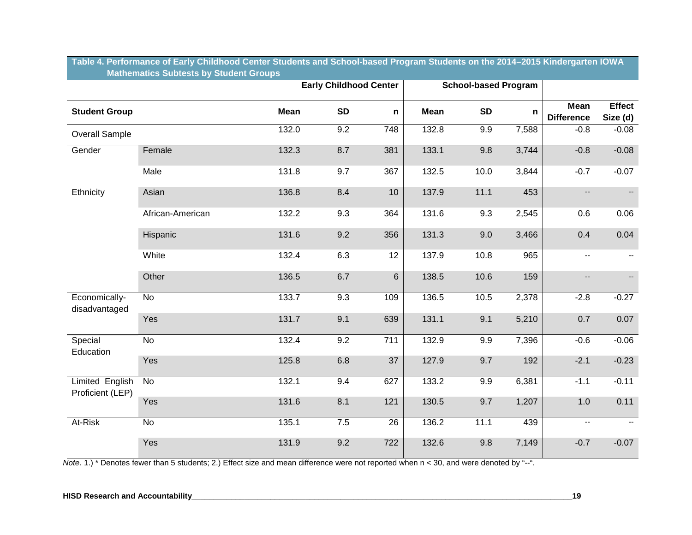|                                            |                  |             | <b>Early Childhood Center</b> |                |             | <b>School-based Program</b> |       |                                  |                          |
|--------------------------------------------|------------------|-------------|-------------------------------|----------------|-------------|-----------------------------|-------|----------------------------------|--------------------------|
| <b>Student Group</b>                       |                  | <b>Mean</b> | <b>SD</b>                     | n              | <b>Mean</b> | <b>SD</b>                   | n.    | <b>Mean</b><br><b>Difference</b> | Effect<br>Size (d)       |
| <b>Overall Sample</b>                      |                  | 132.0       | 9.2                           | 748            | 132.8       | 9.9                         | 7,588 | $-0.8$                           | $-0.08$                  |
| Gender                                     | Female           | 132.3       | 8.7                           | 381            | 133.1       | 9.8                         | 3,744 | $-0.8$                           | $-0.08$                  |
|                                            | Male             | 131.8       | 9.7                           | 367            | 132.5       | 10.0                        | 3,844 | $-0.7$                           | $-0.07$                  |
| Ethnicity                                  | Asian            | 136.8       | 8.4                           | 10             | 137.9       | 11.1                        | 453   | $\overline{\phantom{a}}$         | $\overline{\phantom{a}}$ |
|                                            | African-American | 132.2       | 9.3                           | 364            | 131.6       | 9.3                         | 2,545 | 0.6                              | 0.06                     |
|                                            | Hispanic         | 131.6       | 9.2                           | 356            | 131.3       | 9.0                         | 3,466 | 0.4                              | 0.04                     |
|                                            | White            | 132.4       | 6.3                           | 12             | 137.9       | 10.8                        | 965   | $\overline{\phantom{a}}$         | $\overline{\phantom{a}}$ |
|                                            | Other            | 136.5       | 6.7                           | $6\phantom{a}$ | 138.5       | 10.6                        | 159   | $\overline{\phantom{a}}$         | Щ,                       |
| Economically-<br>disadvantaged             | $\overline{N}$   | 133.7       | 9.3                           | 109            | 136.5       | 10.5                        | 2,378 | $-2.8$                           | $-0.27$                  |
|                                            | Yes              | 131.7       | 9.1                           | 639            | 131.1       | 9.1                         | 5,210 | 0.7                              | 0.07                     |
| Special<br>Education                       | No               | 132.4       | 9.2                           | 711            | 132.9       | 9.9                         | 7,396 | $-0.6$                           | $-0.06$                  |
|                                            | Yes              | 125.8       | 6.8                           | 37             | 127.9       | 9.7                         | 192   | $-2.1$                           | $-0.23$                  |
| <b>Limited English</b><br>Proficient (LEP) | No               | 132.1       | 9.4                           | 627            | 133.2       | 9.9                         | 6,381 | $-1.1$                           | $-0.11$                  |
|                                            | Yes              | 131.6       | 8.1                           | 121            | 130.5       | 9.7                         | 1,207 | 1.0                              | 0.11                     |
| At-Risk                                    | <b>No</b>        | 135.1       | 7.5                           | 26             | 136.2       | 11.1                        | 439   | $\overline{a}$                   |                          |
|                                            | Yes              | 131.9       | 9.2                           | 722            | 132.6       | 9.8                         | 7,149 | $-0.7$                           | $-0.07$                  |

**Table 4. Performance of Early Childhood Center Students and School-based Program Students on the 2014–2015 Kindergarten IOWA Mathematics Subtests by Student Groups**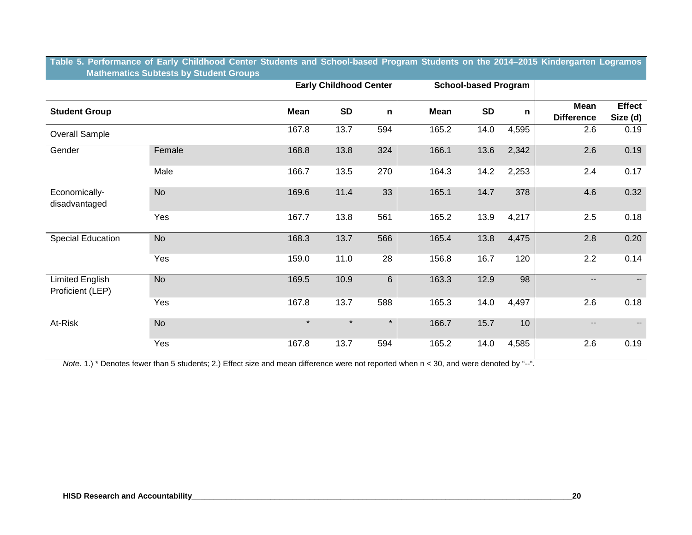| Table 5. Performance of Early Childhood Center Students and School-based Program Students on the 2014–2015 Kindergarten Logramos |  |  |  |  |
|----------------------------------------------------------------------------------------------------------------------------------|--|--|--|--|
| <b>Mathematics Subtests by Student Groups</b>                                                                                    |  |  |  |  |

|                                     |           |             | <b>Early Childhood Center</b> |         |             | <b>School-based Program</b> |                 |                           |                           |
|-------------------------------------|-----------|-------------|-------------------------------|---------|-------------|-----------------------------|-----------------|---------------------------|---------------------------|
| <b>Student Group</b>                |           | <b>Mean</b> | <b>SD</b>                     | n       | <b>Mean</b> | <b>SD</b>                   | n               | Mean<br><b>Difference</b> | <b>Effect</b><br>Size (d) |
| Overall Sample                      |           | 167.8       | 13.7                          | 594     | 165.2       | 14.0                        | 4,595           | 2.6                       | 0.19                      |
| Gender                              | Female    | 168.8       | 13.8                          | 324     | 166.1       | 13.6                        | 2,342           | 2.6                       | 0.19                      |
|                                     | Male      | 166.7       | 13.5                          | 270     | 164.3       | 14.2                        | 2,253           | 2.4                       | 0.17                      |
| Economically-<br>disadvantaged      | <b>No</b> | 169.6       | 11.4                          | 33      | 165.1       | 14.7                        | 378             | 4.6                       | 0.32                      |
|                                     | Yes       | 167.7       | 13.8                          | 561     | 165.2       | 13.9                        | 4,217           | 2.5                       | 0.18                      |
| <b>Special Education</b>            | <b>No</b> | 168.3       | 13.7                          | 566     | 165.4       | 13.8                        | 4,475           | 2.8                       | 0.20                      |
|                                     | Yes       | 159.0       | 11.0                          | 28      | 156.8       | 16.7                        | 120             | 2.2                       | 0.14                      |
| Limited English<br>Proficient (LEP) | <b>No</b> | 169.5       | 10.9                          | 6       | 163.3       | 12.9                        | 98              | $\qquad \qquad -$         | $--$                      |
|                                     | Yes       | 167.8       | 13.7                          | 588     | 165.3       | 14.0                        | 4,497           | 2.6                       | 0.18                      |
| At-Risk                             | <b>No</b> | $\star$     | $\star$                       | $\star$ | 166.7       | 15.7                        | 10 <sup>1</sup> | $\qquad \qquad -$         |                           |
|                                     | Yes       | 167.8       | 13.7                          | 594     | 165.2       | 14.0                        | 4,585           | 2.6                       | 0.19                      |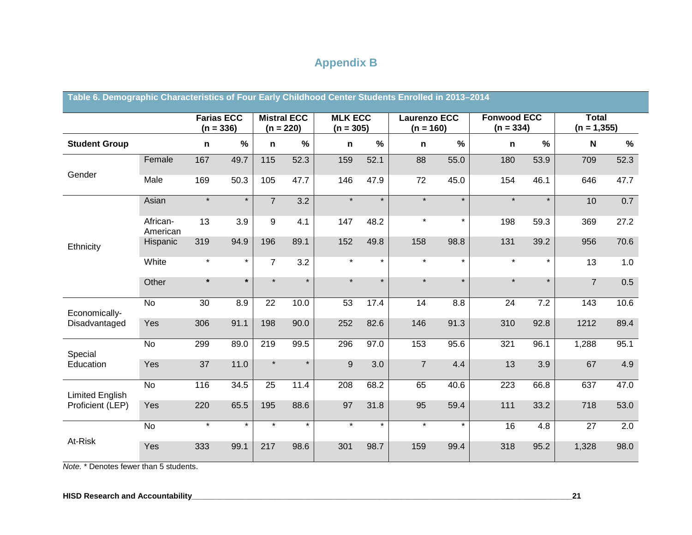# **Appendix B**

| Table 6. Demographic Characteristics of Four Early Childhood Center Students Enrolled in 2013–2014 |                      |             |                                  |                                   |               |                               |               |                                    |               |                                   |               |                                |      |
|----------------------------------------------------------------------------------------------------|----------------------|-------------|----------------------------------|-----------------------------------|---------------|-------------------------------|---------------|------------------------------------|---------------|-----------------------------------|---------------|--------------------------------|------|
|                                                                                                    |                      |             | <b>Farias ECC</b><br>$(n = 336)$ | <b>Mistral ECC</b><br>$(n = 220)$ |               | <b>MLK ECC</b><br>$(n = 305)$ |               | <b>Laurenzo ECC</b><br>$(n = 160)$ |               | <b>Fonwood ECC</b><br>$(n = 334)$ |               | <b>Total</b><br>$(n = 1, 355)$ |      |
| <b>Student Group</b>                                                                               |                      | $\mathbf n$ | $\frac{9}{6}$                    | n                                 | $\frac{9}{6}$ | $\mathbf n$                   | $\frac{9}{6}$ | $\mathbf n$                        | $\frac{0}{0}$ | $\mathbf n$                       | $\frac{0}{0}$ | N                              | %    |
|                                                                                                    | Female               | 167         | 49.7                             | 115                               | 52.3          | 159                           | 52.1          | 88                                 | 55.0          | 180                               | 53.9          | 709                            | 52.3 |
| Gender                                                                                             | Male                 | 169         | 50.3                             | 105                               | 47.7          | 146                           | 47.9          | 72                                 | 45.0          | 154                               | 46.1          | 646                            | 47.7 |
|                                                                                                    | Asian                | $\ast$      | $\star$                          | $\overline{7}$                    | 3.2           | $\star$                       | $\star$       | $\star$                            | $\star$       | $\star$                           | $\star$       | 10                             | 0.7  |
|                                                                                                    | African-<br>American | 13          | 3.9                              | 9                                 | 4.1           | 147                           | 48.2          | $\star$                            | $\star$       | 198                               | 59.3          | 369                            | 27.2 |
| Ethnicity                                                                                          | Hispanic             | 319         | 94.9                             | 196                               | 89.1          | 152                           | 49.8          | 158                                | 98.8          | 131                               | 39.2          | 956                            | 70.6 |
|                                                                                                    | White                | $\star$     | $\star$                          | $\overline{7}$                    | 3.2           | $\star$                       | $\star$       | $\star$                            | $\star$       | $\star$                           | $\star$       | 13                             | 1.0  |
|                                                                                                    | Other                | $\star$     | $\star$                          |                                   | $\star$       | $\star$                       | $\star$       | $\star$                            | $\star$       | $\star$                           | $\star$       | $\overline{7}$                 | 0.5  |
| Economically-                                                                                      | $\overline{N}$       | 30          | 8.9                              | $\overline{22}$                   | 10.0          | $\overline{53}$               | 17.4          | 14                                 | 8.8           | 24                                | 7.2           | $\frac{1}{143}$                | 10.6 |
| Disadvantaged                                                                                      | Yes                  | 306         | 91.1                             | 198                               | 90.0          | 252                           | 82.6          | 146                                | 91.3          | 310                               | 92.8          | 1212                           | 89.4 |
| Special                                                                                            | <b>No</b>            | 299         | 89.0                             | 219                               | 99.5          | 296                           | 97.0          | 153                                | 95.6          | 321                               | 96.1          | 1,288                          | 95.1 |
| Education                                                                                          | Yes                  | 37          | 11.0                             | $\star$                           | $\star$       | 9                             | 3.0           | $\overline{7}$                     | 4.4           | 13                                | 3.9           | 67                             | 4.9  |
| <b>Limited English</b>                                                                             | No                   | 116         | 34.5                             | 25                                | 11.4          | 208                           | 68.2          | 65                                 | 40.6          | 223                               | 66.8          | 637                            | 47.0 |
| Proficient (LEP)                                                                                   | Yes                  | 220         | 65.5                             | 195                               | 88.6          | 97                            | 31.8          | 95                                 | 59.4          | 111                               | 33.2          | 718                            | 53.0 |
|                                                                                                    | <b>No</b>            | $\star$     | $\star$                          | $\star$                           | $\star$       | $\star$                       | $\star$       | $\star$                            | $\star$       | 16                                | 4.8           | 27                             | 2.0  |
| At-Risk                                                                                            | Yes                  | 333         | 99.1                             | 217                               | 98.6          | 301                           | 98.7          | 159                                | 99.4          | 318                               | 95.2          | 1,328                          | 98.0 |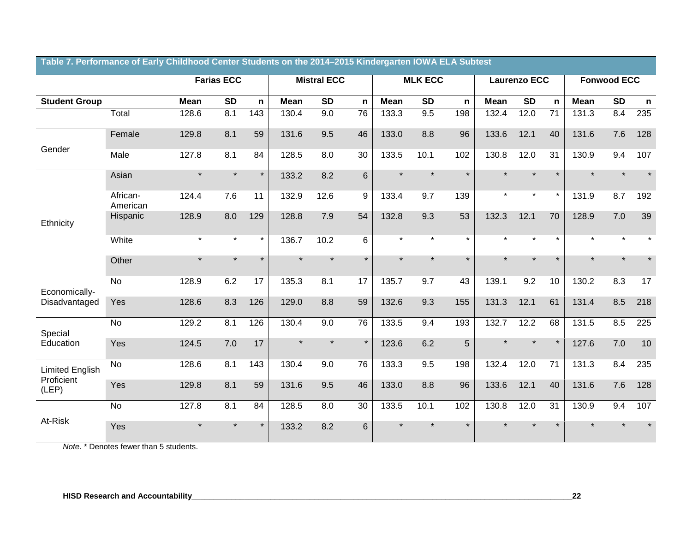|                        |                      |             |                   |         | <b>Solitor</b> Staddillo Sir tho |                    |         | $2011$ 2010 Milaol guiton n |                |         |             |              |                 |             |                    |              |
|------------------------|----------------------|-------------|-------------------|---------|----------------------------------|--------------------|---------|-----------------------------|----------------|---------|-------------|--------------|-----------------|-------------|--------------------|--------------|
|                        |                      |             | <b>Farias ECC</b> |         |                                  | <b>Mistral ECC</b> |         |                             | <b>MLK ECC</b> |         |             | Laurenzo ECC |                 |             | <b>Fonwood ECC</b> |              |
| <b>Student Group</b>   |                      | <b>Mean</b> | <b>SD</b>         | n       | <b>Mean</b>                      | <b>SD</b>          | n       | <b>Mean</b>                 | <b>SD</b>      | n       | <b>Mean</b> | <b>SD</b>    | $\mathsf{n}$    | <b>Mean</b> | <b>SD</b>          | $\mathsf{n}$ |
|                        | Total                | 128.6       | 8.1               | 143     | 130.4                            | 9.0                | 76      | 133.3                       | 9.5            | 198     | 132.4       | 12.0         | $\overline{71}$ | 131.3       | 8.4                | 235          |
|                        | Female               | 129.8       | 8.1               | 59      | 131.6                            | 9.5                | 46      | 133.0                       | 8.8            | 96      | 133.6       | 12.1         | 40              | 131.6       | 7.6                | 128          |
| Gender                 | Male                 | 127.8       | 8.1               | 84      | 128.5                            | 8.0                | 30      | 133.5                       | 10.1           | 102     | 130.8       | 12.0         | 31              | 130.9       | 9.4                | 107          |
|                        | Asian                | $\star$     | $\star$           | $\star$ | 133.2                            | 8.2                | 6       | $\star$                     | $\star$        | $\star$ | $\star$     | $\star$      | $\star$         |             | $\star$            | $\star$      |
|                        | African-<br>American | 124.4       | 7.6               | 11      | 132.9                            | 12.6               | 9       | 133.4                       | 9.7            | 139     | $\star$     | $\star$      | $\star$         | 131.9       | 8.7                | 192          |
| Ethnicity              | Hispanic             | 128.9       | 8.0               | 129     | 128.8                            | 7.9                | 54      | 132.8                       | 9.3            | 53      | 132.3       | 12.1         | 70              | 128.9       | 7.0                | 39           |
|                        | White                | $\star$     | $\star$           | $\star$ | 136.7                            | 10.2               | 6       | $\star$                     | $\star$        | $\star$ | $\star$     | $\star$      | $\star$         |             |                    |              |
|                        | Other                | $\star$     | $\star$           | $\star$ |                                  | $\star$            | $\star$ | $\star$                     | $\star$        | $\star$ | $\star$     | $\star$      | $\star$         |             |                    |              |
| Economically-          | <b>No</b>            | 128.9       | 6.2               | 17      | 135.3                            | 8.1                | 17      | 135.7                       | 9.7            | 43      | 139.1       | 9.2          | 10              | 130.2       | 8.3                | 17           |
| Disadvantaged          | Yes                  | 128.6       | 8.3               | 126     | 129.0                            | 8.8                | 59      | 132.6                       | 9.3            | 155     | 131.3       | 12.1         | 61              | 131.4       | 8.5                | 218          |
| Special                | <b>No</b>            | 129.2       | 8.1               | 126     | 130.4                            | 9.0                | 76      | 133.5                       | 9.4            | 193     | 132.7       | 12.2         | 68              | 131.5       | 8.5                | 225          |
| Education              | Yes                  | 124.5       | 7.0               | 17      |                                  | $\star$            | $\star$ | 123.6                       | 6.2            | 5       | $\star$     |              |                 | 127.6       | 7.0                | 10           |
| <b>Limited English</b> | <b>No</b>            | 128.6       | 8.1               | 143     | 130.4                            | 9.0                | 76      | 133.3                       | 9.5            | 198     | 132.4       | 12.0         | 71              | 131.3       | 8.4                | 235          |
| Proficient<br>(LEP)    | Yes                  | 129.8       | 8.1               | 59      | 131.6                            | 9.5                | 46      | 133.0                       | 8.8            | 96      | 133.6       | 12.1         | 40              | 131.6       | 7.6                | 128          |
| At-Risk                | <b>No</b>            | 127.8       | 8.1               | 84      | 128.5                            | 8.0                | 30      | 133.5                       | 10.1           | 102     | 130.8       | 12.0         | 31              | 130.9       | 9.4                | 107          |
|                        | Yes                  |             | $\star$           | $\star$ | 133.2                            | 8.2                | 6       |                             |                | $\star$ |             |              |                 |             |                    |              |

#### **Table 7. Performance of Early Childhood Center Students on the 2014–2015 Kindergarten IOWA ELA Subtest**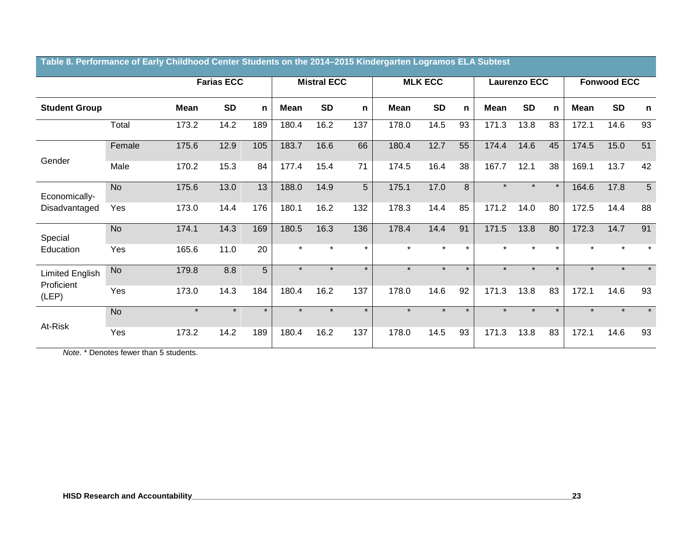|                                      |           |             | <b>Farias ECC</b> |         |             | <b>Mistral ECC</b> |             |             | <b>MLK ECC</b> |         |         | <b>Laurenzo ECC</b> |         |         | <b>Fonwood ECC</b> |         |
|--------------------------------------|-----------|-------------|-------------------|---------|-------------|--------------------|-------------|-------------|----------------|---------|---------|---------------------|---------|---------|--------------------|---------|
| <b>Student Group</b>                 |           | <b>Mean</b> | <b>SD</b>         | n       | <b>Mean</b> | <b>SD</b>          | $\mathbf n$ | <b>Mean</b> | <b>SD</b>      | n.      | Mean    | <b>SD</b>           | n       | Mean    | <b>SD</b>          | n       |
|                                      | Total     | 173.2       | 14.2              | 189     | 180.4       | 16.2               | 137         | 178.0       | 14.5           | 93      | 171.3   | 13.8                | 83      | 172.1   | 14.6               | 93      |
|                                      | Female    | 175.6       | 12.9              | 105     | 183.7       | 16.6               | 66          | 180.4       | 12.7           | 55      | 174.4   | 14.6                | 45      | 174.5   | 15.0               | 51      |
| Gender                               | Male      | 170.2       | 15.3              | 84      | 177.4       | 15.4               | 71          | 174.5       | 16.4           | 38      | 167.7   | 12.1                | 38      | 169.1   | 13.7               | 42      |
| Economically-                        | <b>No</b> | 175.6       | 13.0              | 13      | 188.0       | 14.9               | 5           | 175.1       | 17.0           | 8       | $\star$ | $\star$             | $\star$ | 164.6   | 17.8               | 5       |
| Disadvantaged                        | Yes       | 173.0       | 14.4              | 176     | 180.1       | 16.2               | 132         | 178.3       | 14.4           | 85      | 171.2   | 14.0                | 80      | 172.5   | 14.4               | 88      |
| Special                              | <b>No</b> | 174.1       | 14.3              | 169     | 180.5       | 16.3               | 136         | 178.4       | 14.4           | 91      | 171.5   | 13.8                | 80      | 172.3   | 14.7               | 91      |
| Education                            | Yes       | 165.6       | 11.0              | 20      | $\star$     | $\star$            | $\star$     | $\star$     | $\star$        | $\star$ | $\star$ | $\star$             | $\star$ | $\star$ |                    | $\star$ |
| <b>Limited English</b><br>Proficient | <b>No</b> | 179.8       | 8.8               | 5       | $\star$     | $\star$            | $\star$     | $\star$     | $\star$        | $\star$ | $\star$ | $\star$             | $\star$ | $\star$ |                    | $\star$ |
| (LEP)                                | Yes       | 173.0       | 14.3              | 184     | 180.4       | 16.2               | 137         | 178.0       | 14.6           | 92      | 171.3   | 13.8                | 83      | 172.1   | 14.6               | 93      |
|                                      | <b>No</b> | $\star$     | $\star$           | $\star$ | $\star$     | $\star$            | $\star$     | $\star$     | $\star$        | $\star$ | $\star$ | $\star$             | $\star$ | $\star$ | $\star$            | $\star$ |
| At-Risk                              | Yes       | 173.2       | 14.2              | 189     | 180.4       | 16.2               | 137         | 178.0       | 14.5           | 93      | 171.3   | 13.8                | 83      | 172.1   | 14.6               | 93      |

#### **Table 8. Performance of Early Childhood Center Students on the 2014–2015 Kindergarten Logramos ELA Subtest**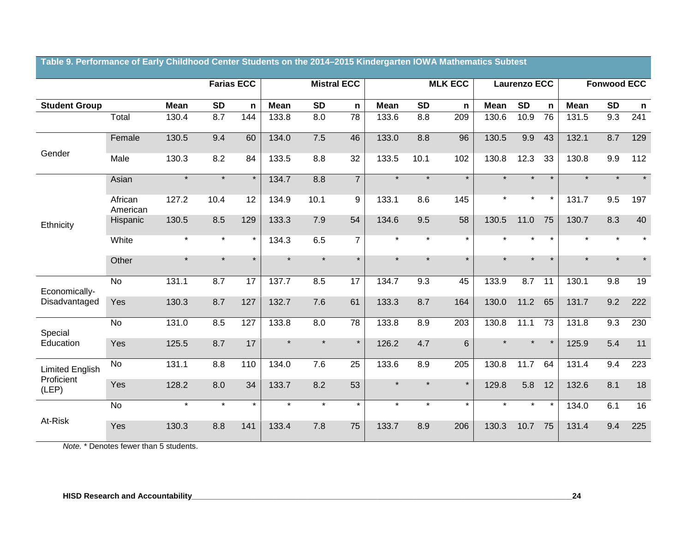|                        |                     |             |           | <b>Farias ECC</b> |             | <b>Mistral ECC</b> |                 |             |           | <b>MLK ECC</b> |             | Laurenzo ECC |         |             | <b>Fonwood ECC</b> |         |
|------------------------|---------------------|-------------|-----------|-------------------|-------------|--------------------|-----------------|-------------|-----------|----------------|-------------|--------------|---------|-------------|--------------------|---------|
| <b>Student Group</b>   |                     | <b>Mean</b> | <b>SD</b> | $\mathsf{n}$      | <b>Mean</b> | <b>SD</b>          | n               | <b>Mean</b> | <b>SD</b> | n              | <b>Mean</b> | <b>SD</b>    | n       | <b>Mean</b> | <b>SD</b>          | n       |
|                        | Total               | 130.4       | 8.7       | 144               | 133.8       | 8.0                | $\overline{78}$ | 133.6       | 8.8       | 209            | 130.6       | 10.9         | 76      | 131.5       | 9.3                | 241     |
| Gender                 | Female              | 130.5       | 9.4       | 60                | 134.0       | 7.5                | 46              | 133.0       | 8.8       | 96             | 130.5       | 9.9          | 43      | 132.1       | 8.7                | 129     |
|                        | Male                | 130.3       | 8.2       | 84                | 133.5       | 8.8                | 32              | 133.5       | 10.1      | 102            | 130.8       | 12.3         | 33      | 130.8       | 9.9                | 112     |
|                        | Asian               | $\star$     | $\star$   | $\star$           | 134.7       | 8.8                | $\overline{7}$  | $\star$     | $\star$   | $\star$        | $\star$     | $\star$      | $\star$ | $\star$     | $\star$            | $\ast$  |
|                        | African<br>American | 127.2       | 10.4      | 12                | 134.9       | 10.1               | 9               | 133.1       | 8.6       | 145            | $\star$     | $\star$      | $\star$ | 131.7       | 9.5                | 197     |
| Ethnicity              | Hispanic            | 130.5       | 8.5       | 129               | 133.3       | 7.9                | 54              | 134.6       | 9.5       | 58             | 130.5       | 11.0         | 75      | 130.7       | 8.3                | 40      |
|                        | White               | $\star$     | $\star$   | $\star$           | 134.3       | 6.5                | $\overline{7}$  | $\star$     | $\star$   | $\star$        |             | $\star$      | $\star$ | $\star$     | $\star$            | $\star$ |
|                        | Other               | $\star$     | $\star$   | $\star$           | $\star$     | $\star$            | $\star$         | $\star$     | $\star$   | $\star$        | $\star$     | $\star$      | $\star$ | $\star$     | $\star$            | $\star$ |
| Economically-          | <b>No</b>           | 131.1       | 8.7       | 17                | 137.7       | 8.5                | 17              | 134.7       | 9.3       | 45             | 133.9       | 8.7          | 11      | 130.1       | 9.8                | 19      |
| Disadvantaged          | Yes                 | 130.3       | 8.7       | 127               | 132.7       | 7.6                | 61              | 133.3       | 8.7       | 164            | 130.0       | 11.2         | 65      | 131.7       | 9.2                | 222     |
| Special                | <b>No</b>           | 131.0       | 8.5       | 127               | 133.8       | 8.0                | 78              | 133.8       | 8.9       | 203            | 130.8       | 11.1         | 73      | 131.8       | 9.3                | 230     |
| Education              | Yes                 | 125.5       | 8.7       | 17                | $\star$     | $\star$            | $\star$         | 126.2       | 4.7       | $6\phantom{1}$ |             | $\star$      | $\star$ | 125.9       | 5.4                | 11      |
| <b>Limited English</b> | <b>No</b>           | 131.1       | 8.8       | 110               | 134.0       | 7.6                | 25              | 133.6       | 8.9       | 205            | 130.8       | 11.7         | 64      | 131.4       | 9.4                | 223     |
| Proficient<br>(LEP)    | Yes                 | 128.2       | 8.0       | 34                | 133.7       | 8.2                | 53              | $\star$     | $\star$   | $\star$        | 129.8       | 5.8          | 12      | 132.6       | 8.1                | 18      |
|                        | $\overline{N}$      | $\star$     | $\star$   | $\star$           | $\star$     | $\star$            | $\star$         | $\star$     | $\star$   | $\star$        | $\star$     | $\star$      | $\star$ | 134.0       | 6.1                | 16      |
| At-Risk                | Yes                 | 130.3       | 8.8       | 141               | 133.4       | 7.8                | 75              | 133.7       | 8.9       | 206            | 130.3       | 10.7         | 75      | 131.4       | 9.4                | 225     |

**Table 9. Performance of Early Childhood Center Students on the 2014–2015 Kindergarten IOWA Mathematics Subtest**